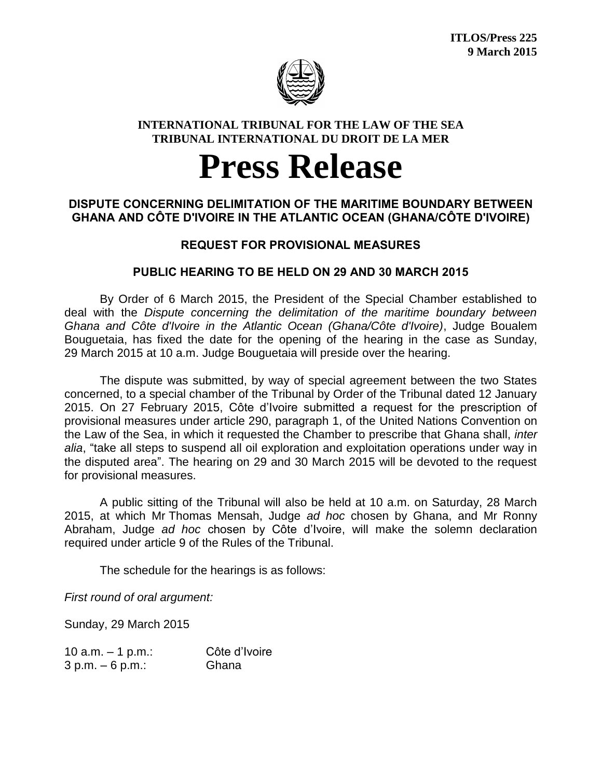

#### **INTERNATIONAL TRIBUNAL FOR THE LAW OF THE SEA TRIBUNAL INTERNATIONAL DU DROIT DE LA MER**

# **Press Release**

### **DISPUTE CONCERNING DELIMITATION OF THE MARITIME BOUNDARY BETWEEN GHANA AND CÔTE D'IVOIRE IN THE ATLANTIC OCEAN (GHANA/CÔTE D'IVOIRE)**

## **REQUEST FOR PROVISIONAL MEASURES**

## **PUBLIC HEARING TO BE HELD ON 29 AND 30 MARCH 2015**

By Order of 6 March 2015, the President of the Special Chamber established to deal with the *Dispute concerning the delimitation of the maritime boundary between Ghana and Côte d'Ivoire in the Atlantic Ocean (Ghana/Côte d'Ivoire)*, Judge Boualem Bouguetaia, has fixed the date for the opening of the hearing in the case as Sunday, 29 March 2015 at 10 a.m. Judge Bouguetaia will preside over the hearing.

The dispute was submitted, by way of special agreement between the two States concerned, to a special chamber of the Tribunal by Order of the Tribunal dated 12 January 2015. On 27 February 2015, Côte d'Ivoire submitted a request for the prescription of provisional measures under article 290, paragraph 1, of the United Nations Convention on the Law of the Sea, in which it requested the Chamber to prescribe that Ghana shall, *inter alia*, "take all steps to suspend all oil exploration and exploitation operations under way in the disputed area". The hearing on 29 and 30 March 2015 will be devoted to the request for provisional measures.

A public sitting of the Tribunal will also be held at 10 a.m. on Saturday, 28 March 2015, at which Mr Thomas Mensah, Judge *ad hoc* chosen by Ghana, and Mr Ronny Abraham, Judge *ad hoc* chosen by Côte d'Ivoire, will make the solemn declaration required under article 9 of the Rules of the Tribunal.

The schedule for the hearings is as follows:

*First round of oral argument:*

Sunday, 29 March 2015

| 10 a.m. $-$ 1 p.m.: | Côte d'Ivoire |
|---------------------|---------------|
| $3 p.m. - 6 p.m.:$  | Ghana         |